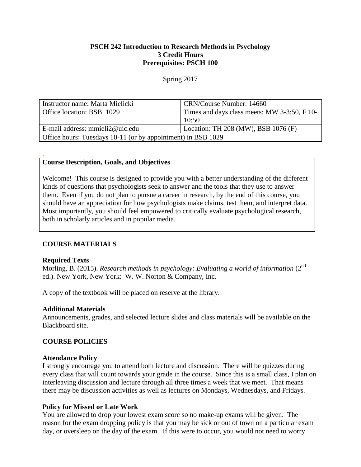## **PSCH 242 Introduction to Research Methods in Psychology 3 Credit Hours Prerequisites: PSCH 100**

#### Spring 2017

| Instructor name: Marta Mielicki                              | CRN/Course Number: 14660                     |  |  |
|--------------------------------------------------------------|----------------------------------------------|--|--|
| Office location: BSB 1029                                    | Times and days class meets: MW 3-3:50, F 10- |  |  |
|                                                              | 10:50                                        |  |  |
| E-mail address: mmieli2@uic.edu                              | Location: TH 208 (MW), BSB 1076 (F)          |  |  |
| Office hours: Tuesdays 10-11 (or by appointment) in BSB 1029 |                                              |  |  |

### **Course Description, Goals, and Objectives**

Welcome! This course is designed to provide you with a better understanding of the different kinds of questions that psychologists seek to answer and the tools that they use to answer them. Even if you do not plan to pursue a career in research, by the end of this course, you should have an appreciation for how psychologists make claims, test them, and interpret data. Most importantly, you should feel empowered to critically evaluate psychological research, both in scholarly articles and in popular media.

### **COURSE MATERIALS**

#### **Required Texts**

*.* 

Morling, B. (2015). *Research methods in psychology: Evaluating a world of information* (2<sup>nd</sup>) ed.). New York, New York: W. W. Norton & Company, Inc.

A copy of the textbook will be placed on reserve at the library.

#### **Additional Materials**

Announcements, grades, and selected lecture slides and class materials will be available on the Blackboard site.

#### **COURSE POLICIES**

#### **Attendance Policy**

I strongly encourage you to attend both lecture and discussion. There will be quizzes during every class that will count towards your grade in the course. Since this is a small class, I plan on interleaving discussion and lecture through all three times a week that we meet. That means there may be discussion activities as well as lectures on Mondays, Wednesdays, and Fridays.

#### **Policy for Missed or Late Work**

You are allowed to drop your lowest exam score so no make-up exams will be given. The reason for the exam dropping policy is that you may be sick or out of town on a particular exam day, or oversleep on the day of the exam. If this were to occur, you would not need to worry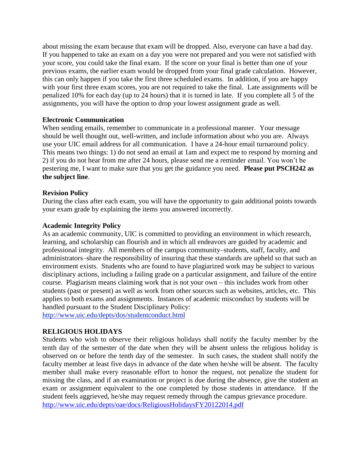about missing the exam because that exam will be dropped. Also, everyone can have a bad day. If you happened to take an exam on a day you were not prepared and you were not satisfied with your score, you could take the final exam. If the score on your final is better than one of your previous exams, the earlier exam would be dropped from your final grade calculation. However, this can only happen if you take the first three scheduled exams. In addition, if you are happy with your first three exam scores, you are not required to take the final. Late assignments will be penalized 10% for each day (up to 24 hours) that it is turned in late. If you complete all 5 of the assignments, you will have the option to drop your lowest assignment grade as well.

### **Electronic Communication**

When sending emails, remember to communicate in a professional manner. Your message should be well thought out, well-written, and include information about who you are. Always use your UIC email address for all communication. I have a 24-hour email turnaround policy. This means two things: 1) do not send an email at 1am and expect me to respond by morning and 2) if you do not hear from me after 24 hours, please send me a reminder email. You won't be pestering me, I want to make sure that you get the guidance you need. **Please put PSCH242 as the subject line**.

#### **Revision Policy**

During the class after each exam, you will have the opportunity to gain additional points towards your exam grade by explaining the items you answered incorrectly.

#### **Academic Integrity Policy**

As an academic community, UIC is committed to providing an environment in which research, learning, and scholarship can flourish and in which all endeavors are guided by academic and professional integrity. All members of the campus community–students, staff, faculty, and administrators–share the responsibility of insuring that these standards are upheld so that such an environment exists. Students who are found to have plagiarized work may be subject to various disciplinary actions, including a failing grade on a particular assignment, and failure of the entire course. Plagiarism means claiming work that is not your own – this includes work from other students (past or present) as well as work from other sources such as websites, articles, etc. This applies to both exams and assignments. Instances of academic misconduct by students will be handled pursuant to the Student Disciplinary Policy:

<http://www.uic.edu/depts/dos/studentconduct.html>

### **RELIGIOUS HOLIDAYS**

Students who wish to observe their religious holidays shall notify the faculty member by the tenth day of the semester of the date when they will be absent unless the religious holiday is observed on or before the tenth day of the semester. In such cases, the student shall notify the faculty member at least five days in advance of the date when he/she will be absent. The faculty member shall make every reasonable effort to honor the request, not penalize the student for missing the class, and if an examination or project is due during the absence, give the student an exam or assignment equivalent to the one completed by those students in attendance. If the student feels aggrieved, he/she may request remedy through the campus grievance procedure. <http://www.uic.edu/depts/oae/docs/ReligiousHolidaysFY20122014.pdf>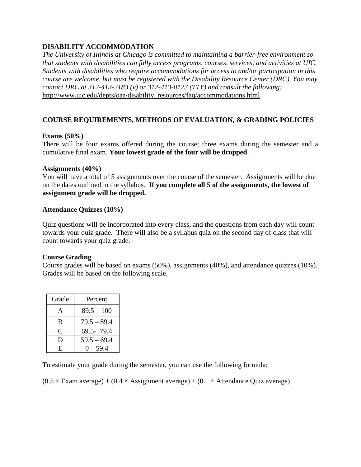# **DISABILITY ACCOMMODATION**

*The University of Illinois at Chicago is committed to maintaining a barrier-free environment so that students with disabilities can fully access programs, courses, services, and activities at UIC. Students with disabilities who require accommodations for access to and/or participation in this course are welcome, but must be registered with the Disability Resource Center (DRC). You may contact DRC at 312-413-2183 (v) or 312-413-0123 (TTY) and consult the following:* [http://www.uic.edu/depts/oaa/disability\\_resources/faq/accommodations.html.](http://www.uic.edu/depts/oaa/disability_resources/faq/accommodations.html)

# **COURSE REQUIREMENTS, METHODS OF EVALUATION, & GRADING POLICIES**

## **Exams (50%)**

There will be four exams offered during the course; three exams during the semester and a cumulative final exam. **Your lowest grade of the four will be dropped**.

### **Assignments (40%)**

You will have a total of 5 assignments over the course of the semester. Assignments will be due on the dates outlined in the syllabus. **If you complete all 5 of the assignments, the lowest of assignment grade will be dropped.**

## **Attendance Quizzes (10%)**

Quiz questions will be incorporated into every class, and the questions from each day will count towards your quiz grade. There will also be a syllabus quiz on the second day of class that will count towards your quiz grade.

# **Course Grading**

Course grades will be based on exams (50%), assignments (40%), and attendance quizzes (10%). Grades will be based on the following scale.

| Grade        | Percent       |
|--------------|---------------|
| A            | $89.5 - 100$  |
| B            | $79.5 - 89.4$ |
| $\mathsf{C}$ | 69.5-79.4     |
| D            | $59.5 - 69.4$ |
| E            | $0 - 59.4$    |

To estimate your grade during the semester, you can use the following formula:

 $(0.5 \times$  Exam average) +  $(0.4 \times$  Assignment average) +  $(0.1 \times$  Attendance Quiz average)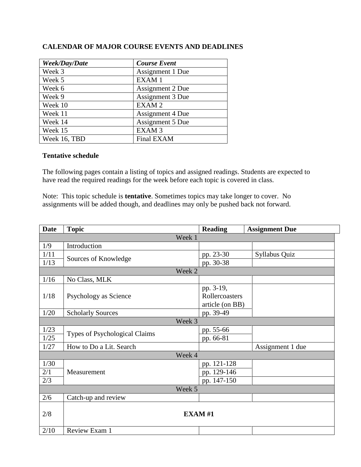| Week/Day/Date | <b>Course Event</b> |
|---------------|---------------------|
| Week 3        | Assignment 1 Due    |
| Week 5        | EXAM <sub>1</sub>   |
| Week 6        | Assignment 2 Due    |
| Week 9        | Assignment 3 Due    |
| Week 10       | EXAM <sub>2</sub>   |
| Week 11       | Assignment 4 Due    |
| Week 14       | Assignment 5 Due    |
| Week 15       | EXAM <sub>3</sub>   |
| Week 16, TBD  | Final EXAM          |

## **CALENDAR OF MAJOR COURSE EVENTS AND DEADLINES**

#### **Tentative schedule**

The following pages contain a listing of topics and assigned readings. Students are expected to have read the required readings for the week before each topic is covered in class.

Note: This topic schedule is **tentative**. Sometimes topics may take longer to cover. No assignments will be added though, and deadlines may only be pushed back not forward.

| <b>Date</b> | <b>Topic</b>                  | <b>Reading</b>  | <b>Assignment Due</b> |  |  |  |
|-------------|-------------------------------|-----------------|-----------------------|--|--|--|
| Week 1      |                               |                 |                       |  |  |  |
| 1/9         | Introduction                  |                 |                       |  |  |  |
| 1/11        |                               | pp. 23-30       | Syllabus Quiz         |  |  |  |
| 1/13        | Sources of Knowledge          | pp. 30-38       |                       |  |  |  |
| Week 2      |                               |                 |                       |  |  |  |
| 1/16        | No Class, MLK                 |                 |                       |  |  |  |
|             |                               | pp. 3-19,       |                       |  |  |  |
| 1/18        | Psychology as Science         | Rollercoasters  |                       |  |  |  |
|             |                               | article (on BB) |                       |  |  |  |
| 1/20        | <b>Scholarly Sources</b>      | pp. 39-49       |                       |  |  |  |
|             | Week 3                        |                 |                       |  |  |  |
| 1/23        | Types of Psychological Claims | pp. 55-66       |                       |  |  |  |
| 1/25        |                               | pp. 66-81       |                       |  |  |  |
| 1/27        | How to Do a Lit. Search       |                 | Assignment 1 due      |  |  |  |
|             | Week 4                        |                 |                       |  |  |  |
| 1/30        |                               | pp. 121-128     |                       |  |  |  |
| 2/1         | Measurement                   | pp. 129-146     |                       |  |  |  |
| 2/3         |                               | pp. 147-150     |                       |  |  |  |
| Week 5      |                               |                 |                       |  |  |  |
| 2/6         | Catch-up and review           |                 |                       |  |  |  |
|             |                               |                 |                       |  |  |  |
| 2/8         | EXAM#1                        |                 |                       |  |  |  |
| 2/10        | Review Exam 1                 |                 |                       |  |  |  |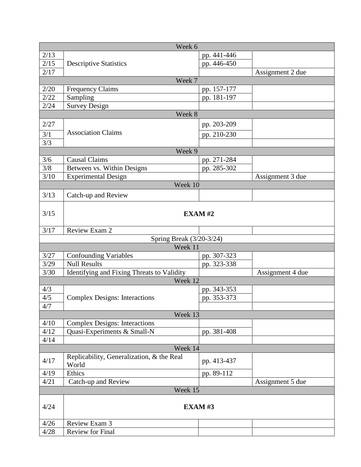| Week 6 |                                            |               |                  |  |  |  |
|--------|--------------------------------------------|---------------|------------------|--|--|--|
| 2/13   |                                            | pp. 441-446   |                  |  |  |  |
| 2/15   | <b>Descriptive Statistics</b>              | pp. 446-450   |                  |  |  |  |
| 2/17   |                                            |               | Assignment 2 due |  |  |  |
| Week 7 |                                            |               |                  |  |  |  |
| 2/20   | <b>Frequency Claims</b>                    | pp. 157-177   |                  |  |  |  |
| 2/22   | Sampling                                   | pp. 181-197   |                  |  |  |  |
| 2/24   | Survey Design                              |               |                  |  |  |  |
|        | Week 8                                     |               |                  |  |  |  |
| 2/27   |                                            | pp. 203-209   |                  |  |  |  |
|        | <b>Association Claims</b>                  |               |                  |  |  |  |
| 3/1    |                                            | pp. 210-230   |                  |  |  |  |
| 3/3    |                                            |               |                  |  |  |  |
|        | Week 9                                     |               |                  |  |  |  |
| 3/6    | <b>Causal Claims</b>                       | pp. 271-284   |                  |  |  |  |
| 3/8    | Between vs. Within Designs                 | pp. 285-302   |                  |  |  |  |
| 3/10   | <b>Experimental Design</b>                 |               | Assignment 3 due |  |  |  |
|        | Week 10                                    |               |                  |  |  |  |
| 3/13   | Catch-up and Review                        |               |                  |  |  |  |
|        |                                            |               |                  |  |  |  |
| 3/15   |                                            | <b>EXAM#2</b> |                  |  |  |  |
|        |                                            |               |                  |  |  |  |
| 3/17   | Review Exam 2                              |               |                  |  |  |  |
|        | Spring Break (3/20-3/24)                   |               |                  |  |  |  |
|        | Week 11                                    |               |                  |  |  |  |
| 3/27   | <b>Confounding Variables</b>               | pp. 307-323   |                  |  |  |  |
| 3/29   | <b>Null Results</b>                        | pp. 323-338   |                  |  |  |  |
| 3/30   | Identifying and Fixing Threats to Validity |               | Assignment 4 due |  |  |  |
|        | Week 12                                    |               |                  |  |  |  |
| 4/3    |                                            | pp. 343-353   |                  |  |  |  |
| 4/5    | <b>Complex Designs: Interactions</b>       | pp. 353-373   |                  |  |  |  |
| 4/7    |                                            |               |                  |  |  |  |
|        | Week 13                                    |               |                  |  |  |  |
| 4/10   | <b>Complex Designs: Interactions</b>       |               |                  |  |  |  |
| 4/12   | Quasi-Experiments & Small-N                | pp. 381-408   |                  |  |  |  |
| 4/14   |                                            |               |                  |  |  |  |
|        | Week 14                                    |               |                  |  |  |  |
|        | Replicability, Generalization, & the Real  |               |                  |  |  |  |
| 4/17   | World                                      | pp. 413-437   |                  |  |  |  |
| 4/19   | Ethics                                     | pp. 89-112    |                  |  |  |  |
| 4/21   | Catch-up and Review                        |               | Assignment 5 due |  |  |  |
|        | Week 15                                    |               |                  |  |  |  |
|        |                                            |               |                  |  |  |  |
| 4/24   | <b>EXAM#3</b>                              |               |                  |  |  |  |
|        |                                            |               |                  |  |  |  |
| 4/26   | Review Exam 3                              |               |                  |  |  |  |
| 4/28   | Review for Final                           |               |                  |  |  |  |